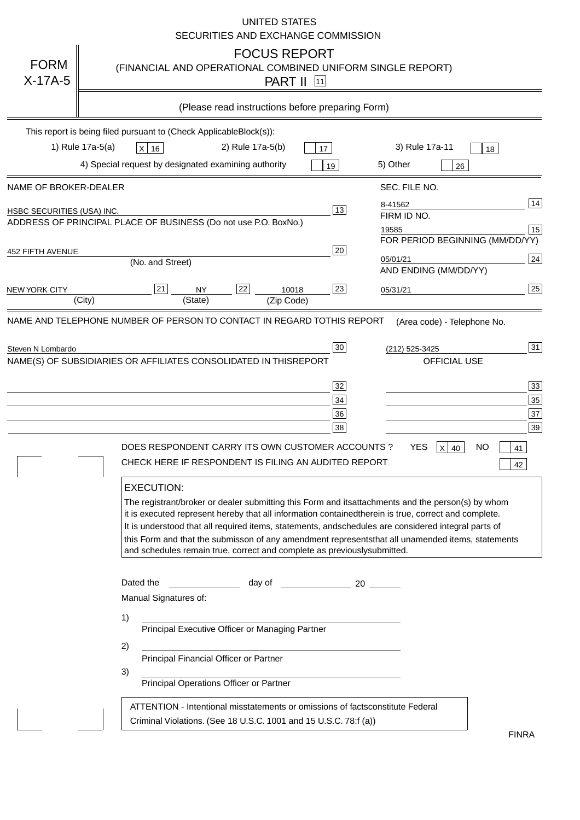|                                   | <b>UNITED STATES</b><br>SECURITIES AND EXCHANGE COMMISSION                                                                                                                                                                                                                                                                                                                                                                                                                                                                                                                                                                                                                                                                                                                                                                                                               |
|-----------------------------------|--------------------------------------------------------------------------------------------------------------------------------------------------------------------------------------------------------------------------------------------------------------------------------------------------------------------------------------------------------------------------------------------------------------------------------------------------------------------------------------------------------------------------------------------------------------------------------------------------------------------------------------------------------------------------------------------------------------------------------------------------------------------------------------------------------------------------------------------------------------------------|
| <b>FORM</b><br>$X-17A-5$          | <b>FOCUS REPORT</b><br>(FINANCIAL AND OPERATIONAL COMBINED UNIFORM SINGLE REPORT)<br><b>PART II</b> 11                                                                                                                                                                                                                                                                                                                                                                                                                                                                                                                                                                                                                                                                                                                                                                   |
|                                   | (Please read instructions before preparing Form)                                                                                                                                                                                                                                                                                                                                                                                                                                                                                                                                                                                                                                                                                                                                                                                                                         |
|                                   | This report is being filed pursuant to (Check Applicable<br>$Block(s)$ :<br>3) Rule 17a-11<br>1) Rule 17a-5(a)<br>2) Rule 17a-5(b)<br>$X$ 16<br>17<br>18<br>4) Special request by designated examining authority<br>5) Other<br>19<br>26                                                                                                                                                                                                                                                                                                                                                                                                                                                                                                                                                                                                                                 |
| NAME OF BROKER-DEALER             | SEC. FILE NO.                                                                                                                                                                                                                                                                                                                                                                                                                                                                                                                                                                                                                                                                                                                                                                                                                                                            |
| <b>HSBC SECURITIES (USA) INC.</b> | 14<br>8-41562<br>13<br>FIRM ID NO.<br>ADDRESS OF PRINCIPAL PLACE OF BUSINESS (Do not use P.O. Box<br>No.)<br>15<br>19585<br>FOR PERIOD BEGINNING (MM/DD/YY)                                                                                                                                                                                                                                                                                                                                                                                                                                                                                                                                                                                                                                                                                                              |
| <b>452 FIFTH AVENUE</b>           | 20<br>24<br>05/01/21<br>(No. and Street)<br>AND ENDING (MM/DD/YY)                                                                                                                                                                                                                                                                                                                                                                                                                                                                                                                                                                                                                                                                                                                                                                                                        |
| <b>NEW YORK CITY</b>              | 25<br>22<br>21<br>23<br><b>NY</b><br>10018<br>05/31/21<br>(City)<br>(State)<br>(Zip Code)                                                                                                                                                                                                                                                                                                                                                                                                                                                                                                                                                                                                                                                                                                                                                                                |
|                                   | NAME(S) OF SUBSIDIARIES OR AFFILIATES CONSOLIDATED IN THIS<br><b>REPORT</b><br><b>OFFICIAL USE</b><br>$\overline{33}$<br>32<br>35<br>34<br>37<br>36<br>39<br>38<br>DOES RESPONDENT CARRY ITS OWN CUSTOMER ACCOUNTS?<br><b>YES</b><br>$X$ 40<br><b>NO</b><br>41<br>CHECK HERE IF RESPONDENT IS FILING AN AUDITED REPORT<br>42<br><b>EXECUTION:</b><br>The registrant/broker or dealer submitting this Form and its<br>attachments and the person(s) by whom<br>it is executed represent hereby that all information contained<br>therein is true, correct and complete.<br>It is understood that all required items, statements, and<br>schedules are considered integral parts of<br>this Form and that the submisson of any amendment represents<br>that all unamended items, statements<br>and schedules remain true, correct and complete as previously<br>submitted. |
|                                   | Dated the<br>day of<br>20<br>Manual Signatures of:<br>1)<br>Principal Executive Officer or Managing Partner<br>2)<br>Principal Financial Officer or Partner<br>3)<br>Principal Operations Officer or Partner                                                                                                                                                                                                                                                                                                                                                                                                                                                                                                                                                                                                                                                             |
|                                   | ATTENTION - Intentional misstatements or omissions of facts<br>constitute Federal<br>Criminal Violations. (See 18 U.S.C. 1001 and 15 U.S.C. 78:f (a)<br>$\lambda$<br><b>FINRA</b>                                                                                                                                                                                                                                                                                                                                                                                                                                                                                                                                                                                                                                                                                        |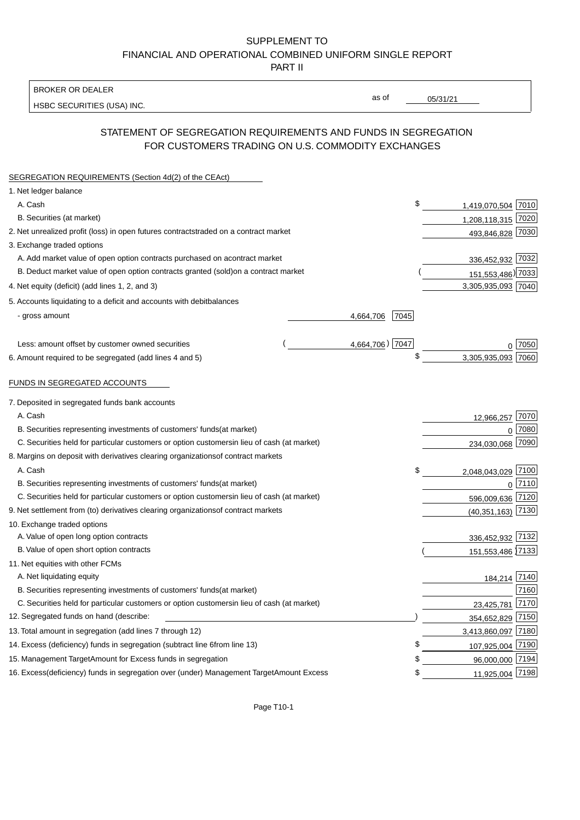BROKER OR DEALER

HSBC SECURITIES (USA) INC.

05/31/21

as of

## STATEMENT OF SEGREGATION REQUIREMENTS AND FUNDS IN SEGREGATION FOR CUSTOMERS TRADING ON U.S. COMMODITY EXCHANGES

| SEGREGATION REQUIREMENTS (Section 4d(2) of the CEAct)                                          |                   |                     |             |
|------------------------------------------------------------------------------------------------|-------------------|---------------------|-------------|
| 1. Net ledger balance                                                                          |                   |                     |             |
| A. Cash                                                                                        | \$                | 1,419,070,504 7010  |             |
| B. Securities (at market)                                                                      |                   | 1,208,118,315 7020  |             |
| 2. Net unrealized profit (loss) in open futures contracts<br>traded on a contract market       |                   | 493,846,828 7030    |             |
| 3. Exchange traded options                                                                     |                   |                     |             |
| A. Add market value of open option contracts purchased on a<br>contract market                 |                   | 336,452,932 7032    |             |
| B. Deduct market value of open option contracts granted (sold)<br>on a contract market         |                   | 151,553,486) 7033   |             |
| 4. Net equity (deficit) (add lines 1, 2, and 3)                                                |                   | 3,305,935,093 7040  |             |
| 5. Accounts liquidating to a deficit and accounts with debit<br>balances                       |                   |                     |             |
| - gross amount                                                                                 | 7045<br>4,664,706 |                     |             |
|                                                                                                |                   |                     |             |
| Less: amount offset by customer owned securities                                               | 4,664,706) 7047   |                     | 0.7050      |
| 6. Amount required to be segregated (add lines 4 and 5)                                        | \$                | 3,305,935,093       | 7060        |
|                                                                                                |                   |                     |             |
| FUNDS IN SEGREGATED ACCOUNTS                                                                   |                   |                     |             |
| 7. Deposited in segregated funds bank accounts                                                 |                   |                     |             |
| A. Cash                                                                                        |                   | 12,966,257          | 7070        |
| B. Securities representing investments of customers' funds<br>(at market)                      |                   | $\mathbf{0}$        | 7080        |
| C. Securities held for particular customers or option customers<br>in lieu of cash (at market) |                   | 234,030,068         | 7090        |
| 8. Margins on deposit with derivatives clearing organizations<br>of contract markets           |                   |                     |             |
| A. Cash                                                                                        | \$                | 2,048,043,029 7100  |             |
| B. Securities representing investments of customers' funds<br>(at market)                      |                   |                     | $0^{17110}$ |
| C. Securities held for particular customers or option customers<br>in lieu of cash (at market) |                   | 596,009,636 7120    |             |
| 9. Net settlement from (to) derivatives clearing organizations<br>of contract markets          |                   | $(40,351,163)$ 7130 |             |
| 10. Exchange traded options                                                                    |                   |                     |             |
| A. Value of open long option contracts                                                         |                   | 336,452,932 7132    |             |
| B. Value of open short option contracts                                                        |                   | 151,553,486 7133    |             |
| 11. Net equities with other FCMs                                                               |                   |                     |             |
| A. Net liquidating equity                                                                      |                   | 184,214 7140        |             |
| B. Securities representing investments of customers' funds<br>(at market)                      |                   |                     | 7160        |
| C. Securities held for particular customers or option customers<br>in lieu of cash (at market) |                   | 23,425,781          | 7170        |
| 12. Segregated funds on hand (describe:                                                        |                   | 354,652,829 7150    |             |
| 13. Total amount in segregation (add lines 7 through 12)                                       |                   | 3,413,860,097 7180  |             |
| 14. Excess (deficiency) funds in segregation (subtract line 6 from line 13)                    | \$                | 107,925,004 7190    |             |
| 15. Management Target Amount for Excess funds in segregation                                   | \$                | 96,000,000 7194     |             |
| 16. Excess (deficiency) funds in segregation over (under) Management Target Amount Excess      | \$                | 11,925,004 7198     |             |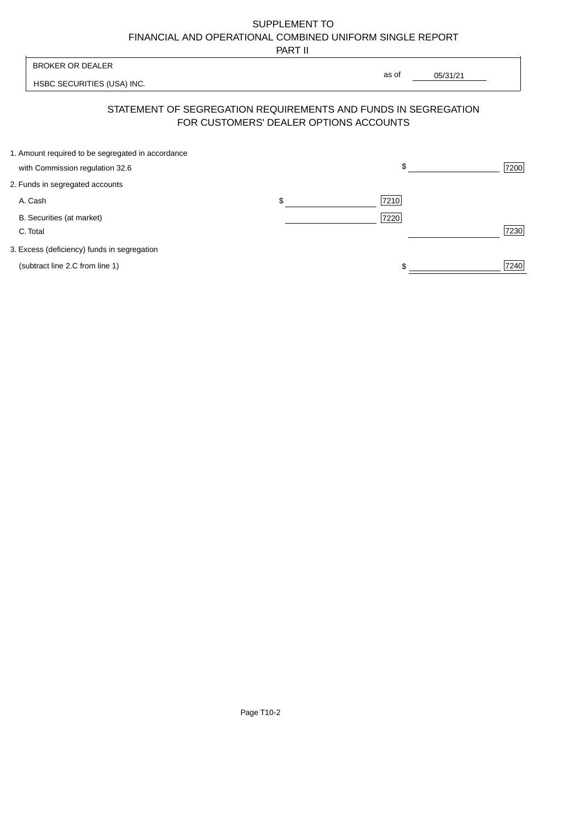PART II

|                                                   | 1 / 2012 11                            |                                                                |      |
|---------------------------------------------------|----------------------------------------|----------------------------------------------------------------|------|
| <b>BROKER OR DEALER</b>                           |                                        |                                                                |      |
| HSBC SECURITIES (USA) INC.                        |                                        | as of<br>05/31/21                                              |      |
|                                                   | FOR CUSTOMERS' DEALER OPTIONS ACCOUNTS | STATEMENT OF SEGREGATION REQUIREMENTS AND FUNDS IN SEGREGATION |      |
| 1. Amount required to be segregated in accordance |                                        |                                                                |      |
| with Commission regulation 32.6                   |                                        | \$                                                             | 7200 |
| 2. Funds in segregated accounts                   |                                        |                                                                |      |
| A. Cash                                           | \$                                     | 7210                                                           |      |
| B. Securities (at market)                         |                                        | 7220                                                           |      |
| C. Total                                          |                                        |                                                                | 7230 |
| 3. Excess (deficiency) funds in segregation       |                                        |                                                                |      |
| (subtract line 2.C from line 1)                   |                                        | \$                                                             | 7240 |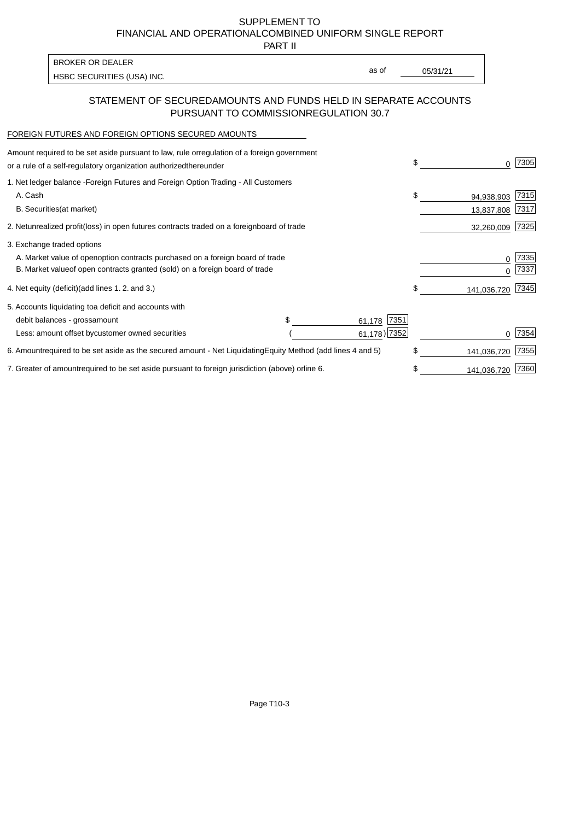PART II

HSBC SECURITIES (USA) INC. The second of the second of the second of the second of the second of the second of the second of the second of the second of the second of the second of the second of the second of the second of BROKER OR DEALER

as of

## STATEMENT OF SECURED AMOUNTS AND FUNDS HELD IN SEPARATE ACCOUNTS PURSUANT TO COMMISSION REGULATION 30.7

#### FOREIGN FUTURES AND FOREIGN OPTIONS SECURED AMOUNTS

| regulation of a foreign government<br>Amount required to be set aside pursuant to law, rule or<br>or a rule of a self-regulatory organization authorized<br>thereunder                       | \$ |                          | 7305         |
|----------------------------------------------------------------------------------------------------------------------------------------------------------------------------------------------|----|--------------------------|--------------|
| 1. Net ledger balance - Foreign Futures and Foreign Option Trading - All Customers<br>A. Cash<br><b>B.</b> Securities<br>(at market)                                                         | \$ | 94,938,903<br>13,837,808 | 7315<br>7317 |
| unrealized profit (loss) in open futures contracts traded on a foreign board of trade<br>2. Net                                                                                              |    | 32,260,009               | 7325         |
| 3. Exchange traded options<br>A. Market value of open option contracts purchased on a foreign board of trade<br>B. Market value of open contracts granted (sold) on a foreign board of trade |    | O                        | 7335<br>7337 |
| (add lines 1.2. and 3.)<br>4. Net equity (deficit)                                                                                                                                           | \$ | 141,036,720              | 7345         |
| 5. Accounts liquidating to<br>a deficit and accounts with<br>7351<br>debit balances - gross<br>amount<br>61,178<br>$61,178$ ) 7352<br>Less: amount offset by customer owned securities       |    |                          | 7354         |
| 6. Amount required to be set aside as the secured amount - Net Liquidating<br>Equity Method (add lines 4 and 5)                                                                              | \$ | 141,036,720              | 7355         |
| 7. Greater of amount required to be set aside pursuant to foreign jurisdiction (above) or<br>line 6.                                                                                         | S  | 141,036,720              | 7360         |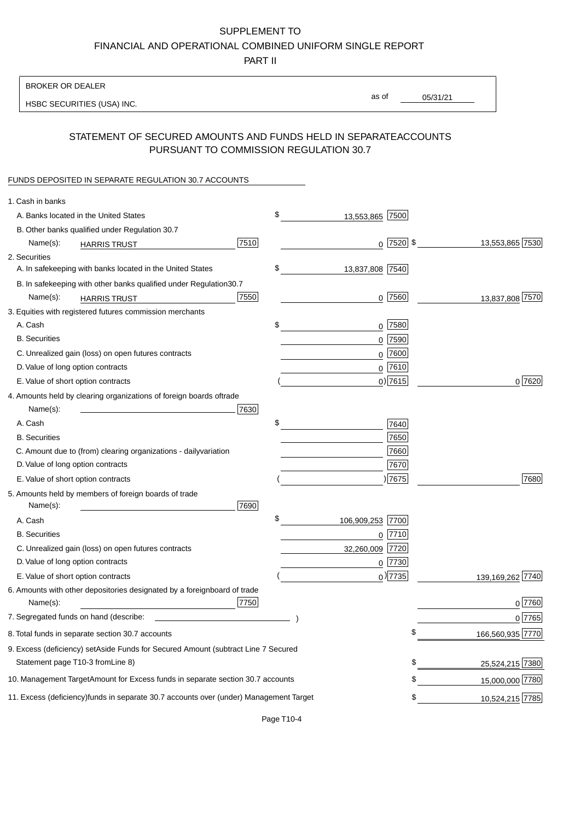PART II

| <b>BROKER OR DEALER</b>                                                                           |                        |                 |                  |
|---------------------------------------------------------------------------------------------------|------------------------|-----------------|------------------|
| HSBC SECURITIES (USA) INC.                                                                        | as of                  | 05/31/21        |                  |
|                                                                                                   |                        |                 |                  |
| STATEMENT OF SECURED AMOUNTS AND FUNDS HELD IN SEPARATE<br>PURSUANT TO COMMISSION REGULATION 30.7 |                        | <b>ACCOUNTS</b> |                  |
| FUNDS DEPOSITED IN SEPARATE REGULATION 30.7 ACCOUNTS                                              |                        |                 |                  |
| 1. Cash in banks                                                                                  |                        |                 |                  |
| A. Banks located in the United States                                                             | \$<br>13,553,865 7500  |                 |                  |
| B. Other banks qualified under Regulation 30.7                                                    |                        |                 |                  |
| 7510<br>Name(s):<br><b>HARRIS TRUST</b>                                                           | $0$   7520   \$        |                 | 13,553,865 7530  |
| 2. Securities                                                                                     |                        |                 |                  |
| A. In safekeeping with banks located in the United States                                         | \$<br>13,837,808 7540  |                 |                  |
| B. In safekeeping with other banks qualified under Regulation<br>30.7                             |                        |                 |                  |
| 7550<br>Name(s):<br><b>HARRIS TRUST</b>                                                           | $0$ 7560               |                 | 13,837,808 7570  |
| 3. Equities with registered futures commission merchants                                          |                        |                 |                  |
| A. Cash                                                                                           | \$<br>$0$ 7580         |                 |                  |
| <b>B.</b> Securities                                                                              | $0$ 7590               |                 |                  |
| C. Unrealized gain (loss) on open futures contracts                                               | $0$ 7600               |                 |                  |
| D. Value of long option contracts                                                                 | $0$ 7610               |                 |                  |
| E. Value of short option contracts                                                                | $0$ ) 7615             |                 | 0 7620           |
| 4. Amounts held by clearing organizations of foreign boards of<br>trade                           |                        |                 |                  |
| Name(s):<br>7630                                                                                  |                        |                 |                  |
| A. Cash                                                                                           | \$<br>7640             |                 |                  |
| <b>B.</b> Securities                                                                              | 7650                   |                 |                  |
| C. Amount due to (from) clearing organizations - daily<br>variation                               | 7660                   |                 |                  |
| D. Value of long option contracts                                                                 | 7670                   |                 |                  |
| E. Value of short option contracts                                                                | )7675                  |                 | 7680             |
| 5. Amounts held by members of foreign boards of trade<br>Name(s):<br>7690                         |                        |                 |                  |
| A. Cash                                                                                           | \$<br>106,909,253 7700 |                 |                  |
| <b>B.</b> Securities                                                                              | 0 7710                 |                 |                  |
| C. Unrealized gain (loss) on open futures contracts                                               | 32,260,009 7720        |                 |                  |
| D. Value of long option contracts                                                                 | $0$  7730              |                 |                  |
| E. Value of short option contracts                                                                | $_0$ ) 7735            |                 | 139,169,262 7740 |
| 6. Amounts with other depositories designated by a foreign<br>board of trade<br>7750<br>Name(s):  |                        |                 | 0 7760           |
| 7. Segregated funds on hand (describe:                                                            |                        |                 | 0 7765           |
| 8. Total funds in separate section 30.7 accounts                                                  |                        | \$              | 166,560,935 7770 |
| 9. Excess (deficiency) set Aside Funds for Secured Amount (subtract Line 7 Secured                |                        |                 |                  |
| Statement page T10-3 from Line 8)                                                                 |                        | \$              | 25,524,215 7380  |
|                                                                                                   |                        |                 |                  |
| 10. Management Target Amount for Excess funds in separate section 30.7 accounts                   |                        | \$              | 15,000,000 7780  |
| 11. Excess (deficiency) funds in separate 30.7 accounts over (under) Management Target            |                        | \$              | 10,524,215 7785  |

Page T10-4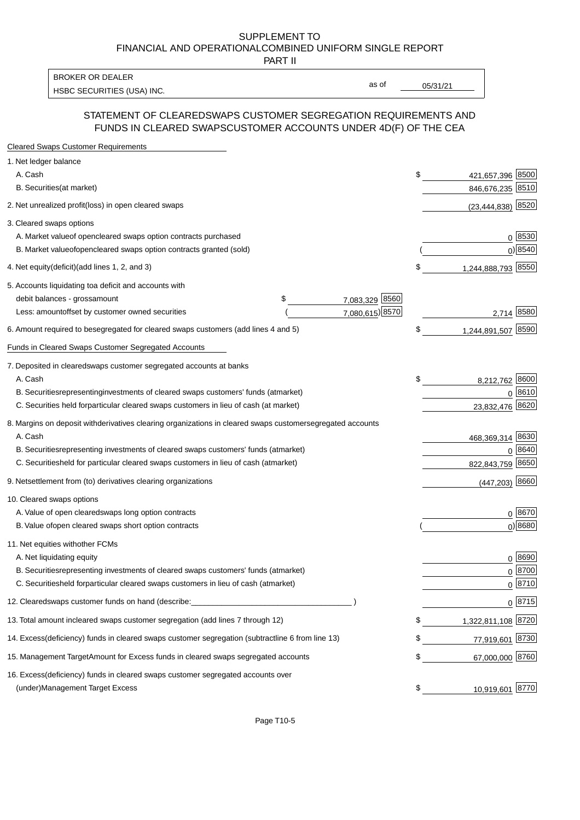PART II

HSBC SECURITIES (USA) INC. The state of the second second second second second second second second second second second second second second second second second second second second second second second second second sec BROKER OR DEALER

as of

### STATEMENT OF CLEARED SWAPS CUSTOMER SEGREGATION REQUIREMENTS AND FUNDS IN CLEARED SWAPS CUSTOMER ACCOUNTS UNDER 4D(F) OF THE CEA

| <b>Cleared Swaps Customer Requirements</b>                                                                  |    |                       |               |
|-------------------------------------------------------------------------------------------------------------|----|-----------------------|---------------|
| 1. Net ledger balance                                                                                       |    |                       |               |
| A. Cash                                                                                                     | \$ | 421,657,396 8500      |               |
| B. Securities (at market)                                                                                   |    | 846,676,235 8510      |               |
| 2. Net unrealized profit (loss) in open cleared swaps                                                       |    | $(23, 444, 838)$ 8520 |               |
| 3. Cleared swaps options                                                                                    |    |                       |               |
| A. Market value of open cleared swaps option contracts purchased                                            |    |                       | 0   8530      |
| B. Market value of open cleared swaps option contracts granted (sold)                                       |    |                       | $0)$ 8540     |
| 4. Net equity (deficit) (add lines 1, 2, and 3)                                                             | \$ | 1,244,888,793 8550    |               |
| 5. Accounts liquidating to a deficit and accounts with                                                      |    |                       |               |
| 7,083,329 8560<br>debit balances - gross<br>\$<br>amount                                                    |    |                       |               |
| 7,080,615) 8570<br>Less: amount offset by customer owned securities                                         |    | 2,714 8580            |               |
| 6. Amount required to be segregated for cleared swaps customers (add lines 4 and 5)                         | S  | 1,244,891,507 8590    |               |
| Funds in Cleared Swaps Customer Segregated Accounts                                                         |    |                       |               |
| 7. Deposited in cleared swaps customer segregated accounts at banks                                         |    |                       |               |
| A. Cash                                                                                                     | \$ | 8,212,762 8600        |               |
| B. Securities representing investments of cleared swaps customers' funds (at market)                        |    |                       | 0 8610        |
| C. Securities held for particular cleared swaps customers in lieu of cash (at market)                       |    | 23,832,476            | 8620          |
| 8. Margins on deposit with derivatives clearing organizations in cleared swaps customer segregated accounts |    |                       |               |
| A. Cash                                                                                                     |    | 468,369,314 8630      |               |
| representing investments of cleared swaps customers' funds (at market)<br><b>B.</b> Securities              |    | 0                     | 8640          |
| C. Securities held for particular cleared swaps customers in lieu of cash (at market)                       |    | 822,843,759 8650      |               |
| 9. Net settlement from (to) derivatives clearing organizations                                              |    | $(447, 203)$ 8660     |               |
| 10. Cleared swaps options                                                                                   |    |                       |               |
| A. Value of open cleared swaps long option contracts                                                        |    |                       | $0^{8670}$    |
| B. Value of open cleared swaps short option contracts                                                       |    |                       | $0$ ) 8680    |
| 11. Net equities with other FCMs                                                                            |    |                       |               |
| A. Net liquidating equity                                                                                   |    |                       | $0^{8690}$    |
| B. Securities representing investments of cleared swaps customers' funds (at market)                        |    |                       | $0^{8700}$    |
| C. Securities held for particular cleared swaps customers in lieu of cash (at market)                       |    |                       | 0 8710        |
| 12. Cleared swaps customer funds on hand (describe:                                                         |    |                       | $0 \;  8715 $ |
| 13. Total amount in cleared swaps customer segregation (add lines 7 through 12)                             | S  | 1,322,811,108 8720    |               |
| 14. Excess (deficiency) funds in cleared swaps customer segregation (subtract line 6 from line 13)          |    | 77,919,601 8730       |               |
| 15. Management Target Amount for Excess funds in cleared swaps segregated accounts                          | \$ | 67,000,000 8760       |               |
| 16. Excess<br>(deficiency) funds in cleared swaps customer segregated accounts over                         |    |                       |               |
| <b>Management Target Excess</b><br>(under)                                                                  | \$ | 10,919,601 8770       |               |